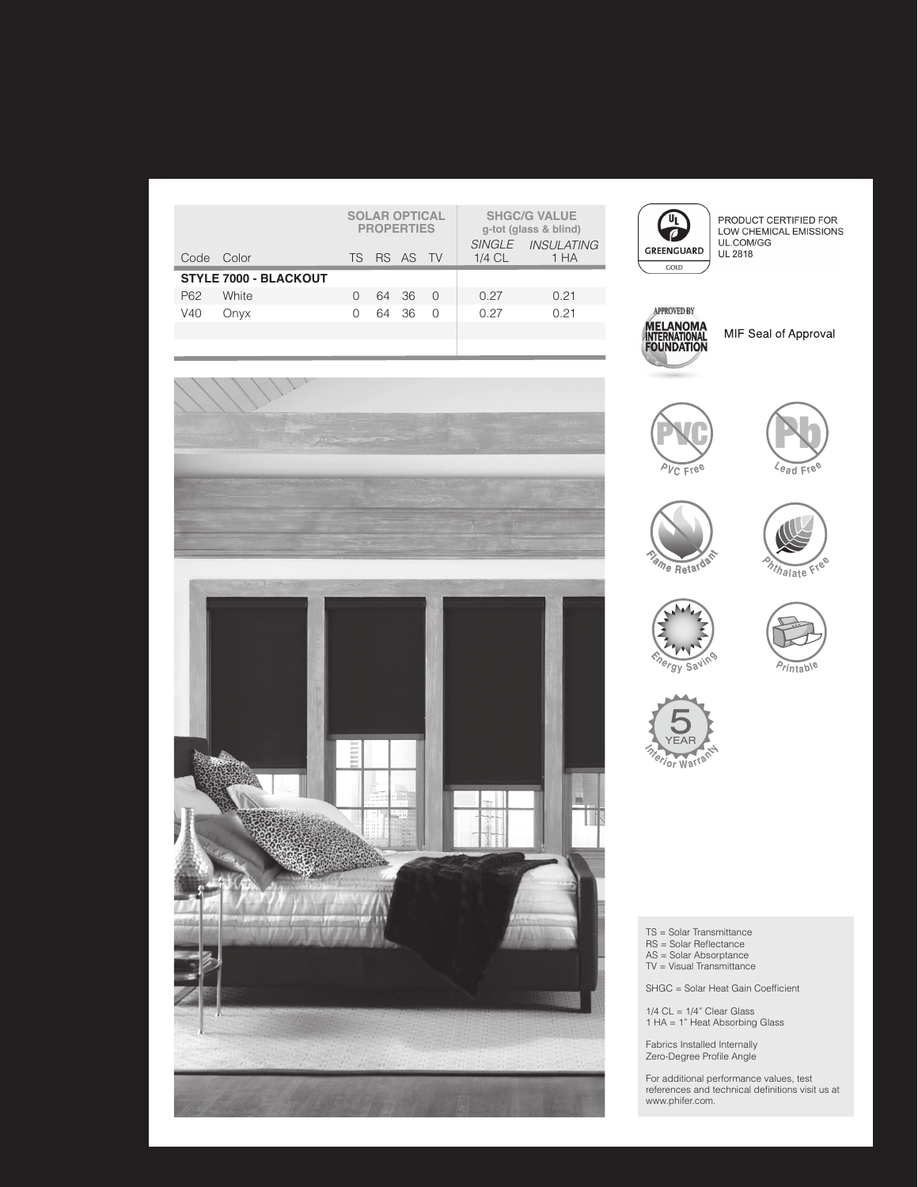|                              |            | <b>SOLAR OPTICAL</b><br><b>PROPERTIES</b> |  |             |        |          | <b>SHGC/G VALUE</b><br>g-tot (glass & blind) |
|------------------------------|------------|-------------------------------------------|--|-------------|--------|----------|----------------------------------------------|
|                              | Code Color |                                           |  | TS RS AS TV |        | $1/4$ CL | SINGLE INSULATING<br>1 HA                    |
| <b>STYLE 7000 - BLACKOUT</b> |            |                                           |  |             |        |          |                                              |
| P62                          | White      |                                           |  | 64 36       | $\cap$ | O 27     | 0.21                                         |
| V40                          | Onyx       |                                           |  | 64 36       | ∩      | O 27     | 0.21                                         |
|                              |            |                                           |  |             |        |          |                                              |



PRODUCT CERTIFIED FOR<br>LOW CHEMICAL EMISSIONS<br>UL.COM/GG **UL 2818** 



MIF Seal of Approval















TS = Solar Transmittance

- 
- RS = Solar Reflectance AS = Solar Absorptance TV = Visual Transmittance

SHGC = Solar Heat Gain Coefficient

1/4 CL = 1/4" Clear Glass 1 HA = 1" Heat Absorbing Glass

Fabrics Installed Internally Zero-Degree Profile Angle

For additional performance values, test references and technical definitions visit us at www.phifer.com.